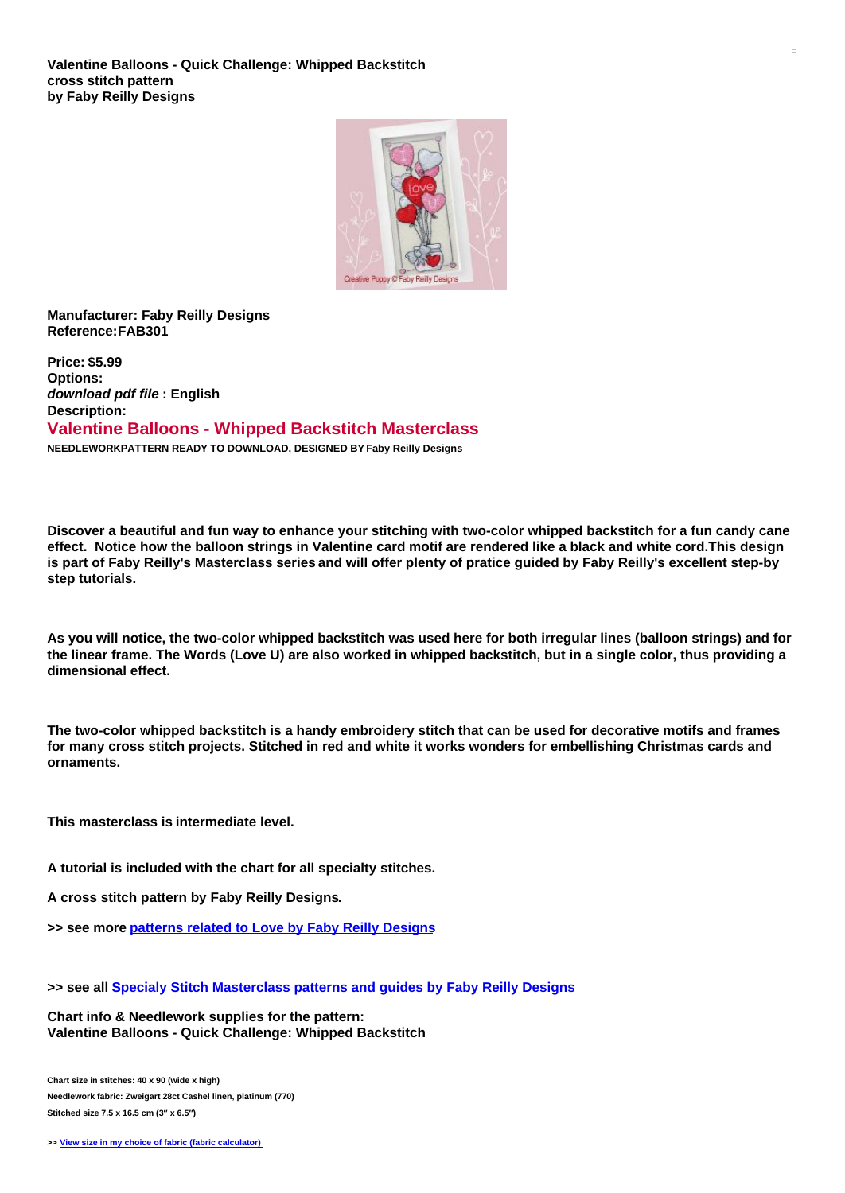

## **Manufacturer: Faby Reilly Designs Reference:FAB301**

**Price: \$5.99 Options:** *download pdf file* **: English Description: Valentine Balloons - Whipped Backstitch Masterclass NEEDLEWORKPATTERN READY TO DOWNLOAD, DESIGNED BY Faby Reilly Designs**

Discover a beautiful and fun way to enhance your stitching with two-color whipped backstitch for a fun candy cane effect. Notice how the balloon strings in Valentine card motif are rendered like a black and white cord. This design is part of Faby Reilly's Masterclass series and will offer plenty of pratice guided by Faby Reilly's excellent step-by **step tutorials.**

As you will notice, the two-color whipped backstitch was used here for both irregular lines (balloon strings) and for the linear frame. The Words (Love U) are also worked in whipped backstitch, but in a single color, thus providing a **dimensional effect.**

The two-color whipped backstitch is a handy embroidery stitch that can be used for decorative motifs and frames for many cross stitch projects. Stitched in red and white it works wonders for embellishing Christmas cards and **ornaments.**

**This masterclass is intermediate level.**

**A tutorial is included with the chart for all specialty stitches.**

**A cross stitch pattern by Faby Reilly Designs.**

**>> see more [patterns](https://www.creativepoppypatterns.com/love-themed-designs-xsl-296_392_419.html) related to Love by Faby Reilly Designs**

**>> see all Specialy Stitch [Masterclass](https://www.creativepoppypatterns.com/specialty-stitch-masterclass-cross-stitch-patterns-faby-reilly-designs-xsl-296_392_719.html) patterns and guides by Faby Reilly Designs**

**Chart info & Needlework supplies for the pattern: Valentine Balloons - Quick Challenge: Whipped Backstitch**

**Chart size in stitches: 40 x 90 (wide x high) Needlework fabric: Zweigart 28ct Cashel linen, platinum (770) Stitched size 7.5 x 16.5 cm (3″ x 6.5″)**